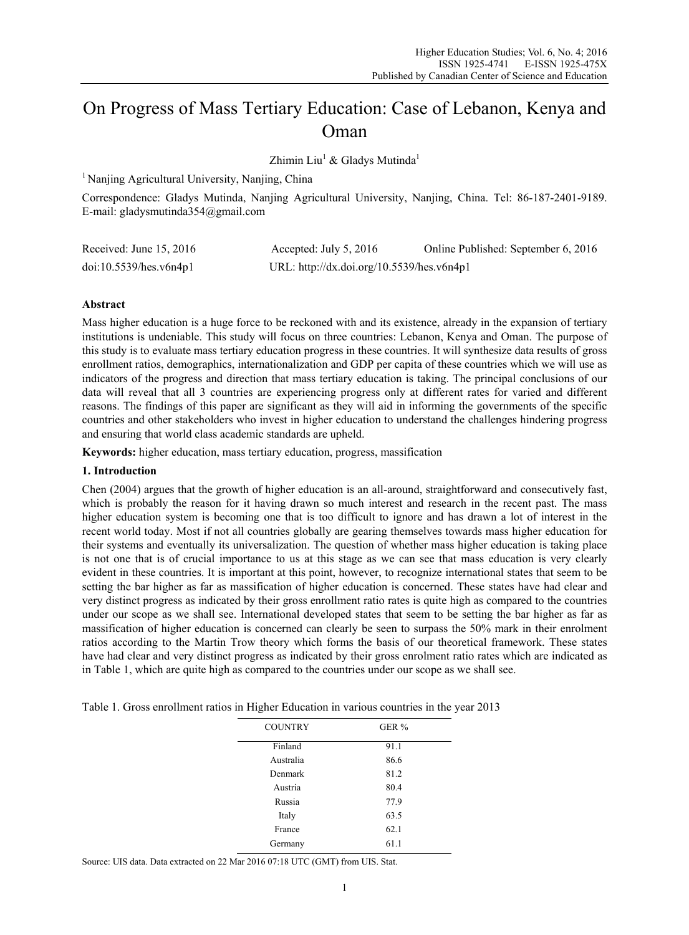# On Progress of Mass Tertiary Education: Case of Lebanon, Kenya and Oman

Zhimin Liu<sup>1</sup> & Gladys Mutinda<sup>1</sup>

<sup>1</sup> Nanjing Agricultural University, Nanjing, China

Correspondence: Gladys Mutinda, Nanjing Agricultural University, Nanjing, China. Tel: 86-187-2401-9189. E-mail: gladysmutinda354@gmail.com

| Received: June $15, 2016$ | Accepted: July 5, 2016                    | Online Published: September 6, 2016 |
|---------------------------|-------------------------------------------|-------------------------------------|
| doi:10.5539/hes.v6n4p1    | URL: http://dx.doi.org/10.5539/hes.v6n4p1 |                                     |

## **Abstract**

Mass higher education is a huge force to be reckoned with and its existence, already in the expansion of tertiary institutions is undeniable. This study will focus on three countries: Lebanon, Kenya and Oman. The purpose of this study is to evaluate mass tertiary education progress in these countries. It will synthesize data results of gross enrollment ratios, demographics, internationalization and GDP per capita of these countries which we will use as indicators of the progress and direction that mass tertiary education is taking. The principal conclusions of our data will reveal that all 3 countries are experiencing progress only at different rates for varied and different reasons. The findings of this paper are significant as they will aid in informing the governments of the specific countries and other stakeholders who invest in higher education to understand the challenges hindering progress and ensuring that world class academic standards are upheld.

**Keywords:** higher education, mass tertiary education, progress, massification

## **1. Introduction**

Chen (2004) argues that the growth of higher education is an all-around, straightforward and consecutively fast, which is probably the reason for it having drawn so much interest and research in the recent past. The mass higher education system is becoming one that is too difficult to ignore and has drawn a lot of interest in the recent world today. Most if not all countries globally are gearing themselves towards mass higher education for their systems and eventually its universalization. The question of whether mass higher education is taking place is not one that is of crucial importance to us at this stage as we can see that mass education is very clearly evident in these countries. It is important at this point, however, to recognize international states that seem to be setting the bar higher as far as massification of higher education is concerned. These states have had clear and very distinct progress as indicated by their gross enrollment ratio rates is quite high as compared to the countries under our scope as we shall see. International developed states that seem to be setting the bar higher as far as massification of higher education is concerned can clearly be seen to surpass the 50% mark in their enrolment ratios according to the Martin Trow theory which forms the basis of our theoretical framework. These states have had clear and very distinct progress as indicated by their gross enrolment ratio rates which are indicated as in Table 1, which are quite high as compared to the countries under our scope as we shall see.

| <b>COUNTRY</b>              | GER % |  |
|-----------------------------|-------|--|
| $\overline{\text{Fin}}$ and | 91.1  |  |
| Australia                   | 86.6  |  |
| Denmark                     | 81.2  |  |
| Austria                     | 80.4  |  |
| Russia                      | 77.9  |  |
| Italy                       | 63.5  |  |
| France                      | 62.1  |  |
| Germany                     | 61.1  |  |

Table 1. Gross enrollment ratios in Higher Education in various countries in the year 2013

Source: UIS data. Data extracted on 22 Mar 2016 07:18 UTC (GMT) from UIS. Stat.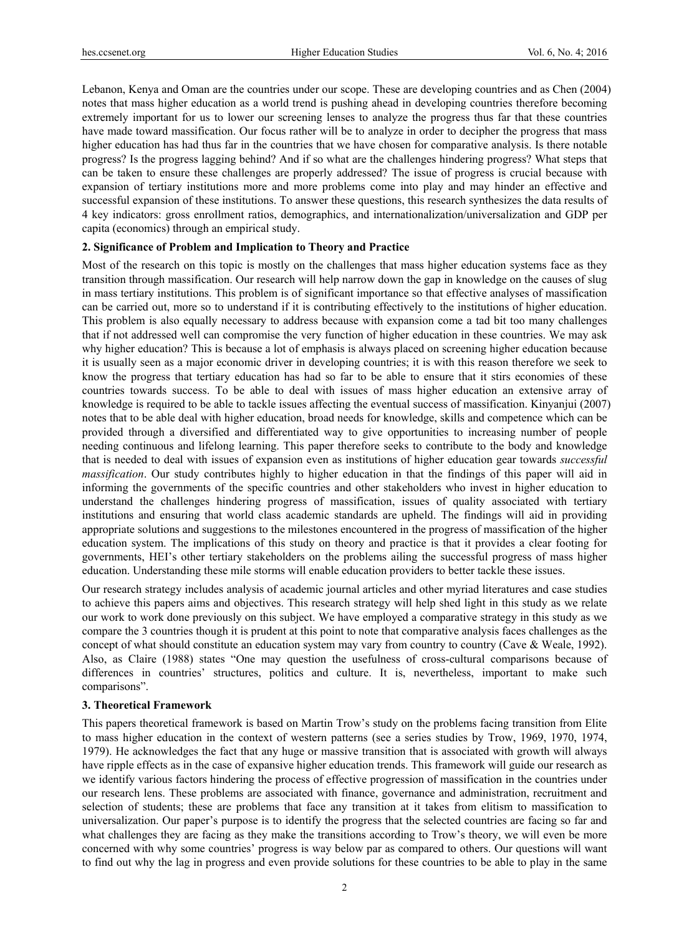Lebanon, Kenya and Oman are the countries under our scope. These are developing countries and as Chen (2004) notes that mass higher education as a world trend is pushing ahead in developing countries therefore becoming extremely important for us to lower our screening lenses to analyze the progress thus far that these countries have made toward massification. Our focus rather will be to analyze in order to decipher the progress that mass higher education has had thus far in the countries that we have chosen for comparative analysis. Is there notable progress? Is the progress lagging behind? And if so what are the challenges hindering progress? What steps that can be taken to ensure these challenges are properly addressed? The issue of progress is crucial because with expansion of tertiary institutions more and more problems come into play and may hinder an effective and successful expansion of these institutions. To answer these questions, this research synthesizes the data results of 4 key indicators: gross enrollment ratios, demographics, and internationalization/universalization and GDP per capita (economics) through an empirical study.

## **2. Significance of Problem and Implication to Theory and Practice**

Most of the research on this topic is mostly on the challenges that mass higher education systems face as they transition through massification. Our research will help narrow down the gap in knowledge on the causes of slug in mass tertiary institutions. This problem is of significant importance so that effective analyses of massification can be carried out, more so to understand if it is contributing effectively to the institutions of higher education. This problem is also equally necessary to address because with expansion come a tad bit too many challenges that if not addressed well can compromise the very function of higher education in these countries. We may ask why higher education? This is because a lot of emphasis is always placed on screening higher education because it is usually seen as a major economic driver in developing countries; it is with this reason therefore we seek to know the progress that tertiary education has had so far to be able to ensure that it stirs economies of these countries towards success. To be able to deal with issues of mass higher education an extensive array of knowledge is required to be able to tackle issues affecting the eventual success of massification. Kinyanjui (2007) notes that to be able deal with higher education, broad needs for knowledge, skills and competence which can be provided through a diversified and differentiated way to give opportunities to increasing number of people needing continuous and lifelong learning. This paper therefore seeks to contribute to the body and knowledge that is needed to deal with issues of expansion even as institutions of higher education gear towards *successful massification*. Our study contributes highly to higher education in that the findings of this paper will aid in informing the governments of the specific countries and other stakeholders who invest in higher education to understand the challenges hindering progress of massification, issues of quality associated with tertiary institutions and ensuring that world class academic standards are upheld. The findings will aid in providing appropriate solutions and suggestions to the milestones encountered in the progress of massification of the higher education system. The implications of this study on theory and practice is that it provides a clear footing for governments, HEI's other tertiary stakeholders on the problems ailing the successful progress of mass higher education. Understanding these mile storms will enable education providers to better tackle these issues.

Our research strategy includes analysis of academic journal articles and other myriad literatures and case studies to achieve this papers aims and objectives. This research strategy will help shed light in this study as we relate our work to work done previously on this subject. We have employed a comparative strategy in this study as we compare the 3 countries though it is prudent at this point to note that comparative analysis faces challenges as the concept of what should constitute an education system may vary from country to country (Cave  $\&$  Weale, 1992). Also, as Claire (1988) states "One may question the usefulness of cross-cultural comparisons because of differences in countries' structures, politics and culture. It is, nevertheless, important to make such comparisons".

#### **3. Theoretical Framework**

This papers theoretical framework is based on Martin Trow's study on the problems facing transition from Elite to mass higher education in the context of western patterns (see a series studies by Trow, 1969, 1970, 1974, 1979). He acknowledges the fact that any huge or massive transition that is associated with growth will always have ripple effects as in the case of expansive higher education trends. This framework will guide our research as we identify various factors hindering the process of effective progression of massification in the countries under our research lens. These problems are associated with finance, governance and administration, recruitment and selection of students; these are problems that face any transition at it takes from elitism to massification to universalization. Our paper's purpose is to identify the progress that the selected countries are facing so far and what challenges they are facing as they make the transitions according to Trow's theory, we will even be more concerned with why some countries' progress is way below par as compared to others. Our questions will want to find out why the lag in progress and even provide solutions for these countries to be able to play in the same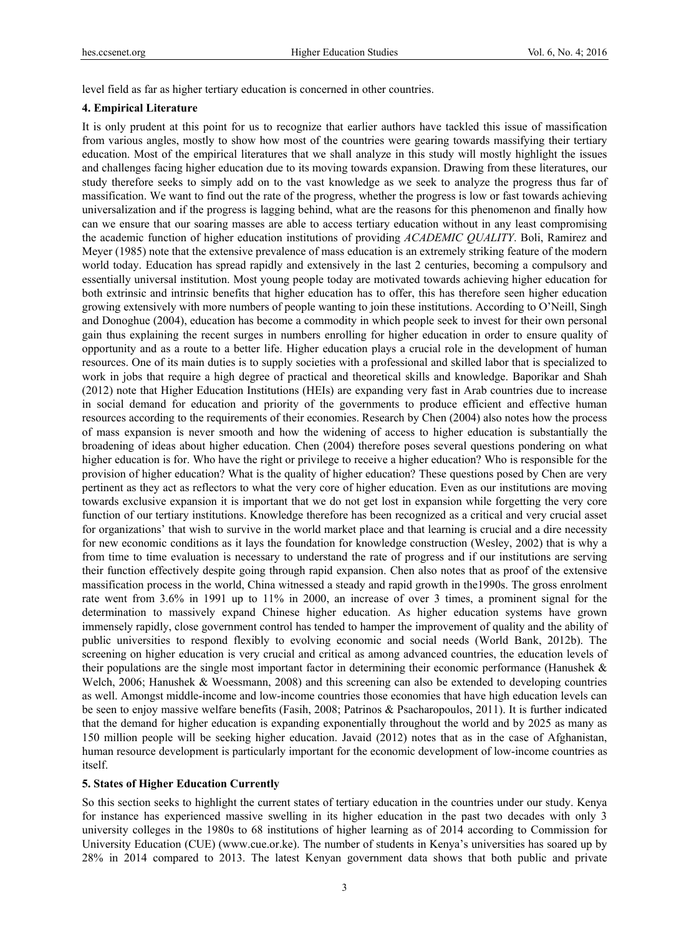level field as far as higher tertiary education is concerned in other countries.

#### **4. Empirical Literature**

It is only prudent at this point for us to recognize that earlier authors have tackled this issue of massification from various angles, mostly to show how most of the countries were gearing towards massifying their tertiary education. Most of the empirical literatures that we shall analyze in this study will mostly highlight the issues and challenges facing higher education due to its moving towards expansion. Drawing from these literatures, our study therefore seeks to simply add on to the vast knowledge as we seek to analyze the progress thus far of massification. We want to find out the rate of the progress, whether the progress is low or fast towards achieving universalization and if the progress is lagging behind, what are the reasons for this phenomenon and finally how can we ensure that our soaring masses are able to access tertiary education without in any least compromising the academic function of higher education institutions of providing *ACADEMIC QUALITY*. Boli, Ramirez and Meyer (1985) note that the extensive prevalence of mass education is an extremely striking feature of the modern world today. Education has spread rapidly and extensively in the last 2 centuries, becoming a compulsory and essentially universal institution. Most young people today are motivated towards achieving higher education for both extrinsic and intrinsic benefits that higher education has to offer, this has therefore seen higher education growing extensively with more numbers of people wanting to join these institutions. According to O'Neill, Singh and Donoghue (2004), education has become a commodity in which people seek to invest for their own personal gain thus explaining the recent surges in numbers enrolling for higher education in order to ensure quality of opportunity and as a route to a better life. Higher education plays a crucial role in the development of human resources. One of its main duties is to supply societies with a professional and skilled labor that is specialized to work in jobs that require a high degree of practical and theoretical skills and knowledge. Baporikar and Shah (2012) note that Higher Education Institutions (HEIs) are expanding very fast in Arab countries due to increase in social demand for education and priority of the governments to produce efficient and effective human resources according to the requirements of their economies. Research by Chen (2004) also notes how the process of mass expansion is never smooth and how the widening of access to higher education is substantially the broadening of ideas about higher education. Chen (2004) therefore poses several questions pondering on what higher education is for. Who have the right or privilege to receive a higher education? Who is responsible for the provision of higher education? What is the quality of higher education? These questions posed by Chen are very pertinent as they act as reflectors to what the very core of higher education. Even as our institutions are moving towards exclusive expansion it is important that we do not get lost in expansion while forgetting the very core function of our tertiary institutions. Knowledge therefore has been recognized as a critical and very crucial asset for organizations' that wish to survive in the world market place and that learning is crucial and a dire necessity for new economic conditions as it lays the foundation for knowledge construction (Wesley, 2002) that is why a from time to time evaluation is necessary to understand the rate of progress and if our institutions are serving their function effectively despite going through rapid expansion. Chen also notes that as proof of the extensive massification process in the world, China witnessed a steady and rapid growth in the1990s. The gross enrolment rate went from 3.6% in 1991 up to 11% in 2000, an increase of over 3 times, a prominent signal for the determination to massively expand Chinese higher education. As higher education systems have grown immensely rapidly, close government control has tended to hamper the improvement of quality and the ability of public universities to respond flexibly to evolving economic and social needs (World Bank, 2012b). The screening on higher education is very crucial and critical as among advanced countries, the education levels of their populations are the single most important factor in determining their economic performance (Hanushek & Welch, 2006; Hanushek & Woessmann, 2008) and this screening can also be extended to developing countries as well. Amongst middle-income and low-income countries those economies that have high education levels can be seen to enjoy massive welfare benefits (Fasih, 2008; Patrinos & Psacharopoulos, 2011). It is further indicated that the demand for higher education is expanding exponentially throughout the world and by 2025 as many as 150 million people will be seeking higher education. Javaid (2012) notes that as in the case of Afghanistan, human resource development is particularly important for the economic development of low-income countries as itself.

## **5. States of Higher Education Currently**

So this section seeks to highlight the current states of tertiary education in the countries under our study. Kenya for instance has experienced massive swelling in its higher education in the past two decades with only 3 university colleges in the 1980s to 68 institutions of higher learning as of 2014 according to Commission for University Education (CUE) (www.cue.or.ke). The number of students in Kenya's universities has soared up by 28% in 2014 compared to 2013. The latest Kenyan government data shows that both public and private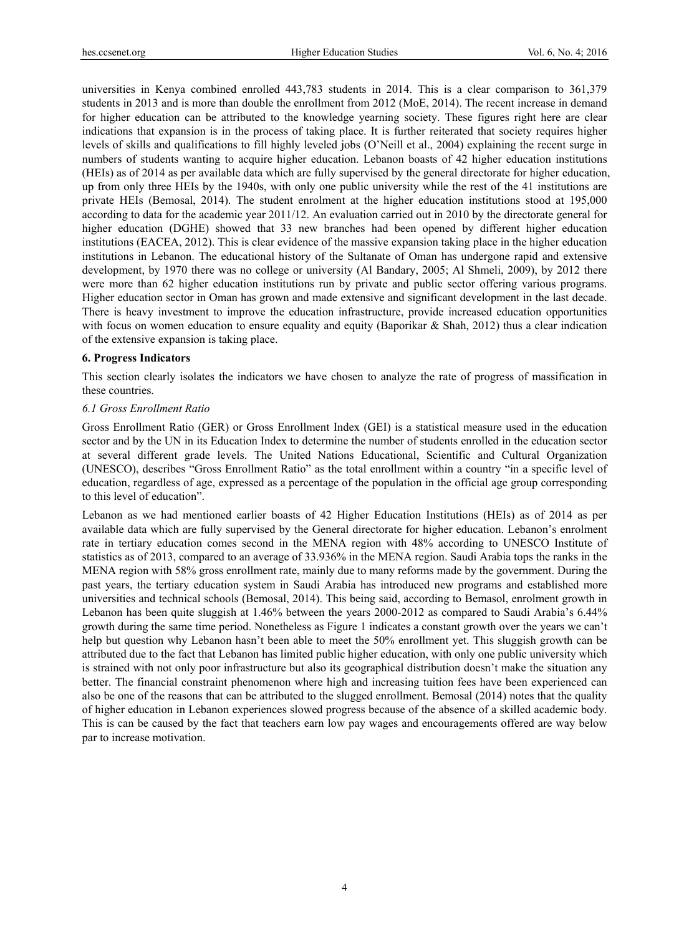universities in Kenya combined enrolled 443,783 students in 2014. This is a clear comparison to 361,379 students in 2013 and is more than double the enrollment from 2012 (MoE, 2014). The recent increase in demand for higher education can be attributed to the knowledge yearning society. These figures right here are clear indications that expansion is in the process of taking place. It is further reiterated that society requires higher levels of skills and qualifications to fill highly leveled jobs (O'Neill et al., 2004) explaining the recent surge in numbers of students wanting to acquire higher education. Lebanon boasts of 42 higher education institutions (HEIs) as of 2014 as per available data which are fully supervised by the general directorate for higher education, up from only three HEIs by the 1940s, with only one public university while the rest of the 41 institutions are private HEIs (Bemosal, 2014). The student enrolment at the higher education institutions stood at 195,000 according to data for the academic year 2011/12. An evaluation carried out in 2010 by the directorate general for higher education (DGHE) showed that 33 new branches had been opened by different higher education institutions (EACEA, 2012). This is clear evidence of the massive expansion taking place in the higher education institutions in Lebanon. The educational history of the Sultanate of Oman has undergone rapid and extensive development, by 1970 there was no college or university (Al Bandary, 2005; Al Shmeli, 2009), by 2012 there were more than 62 higher education institutions run by private and public sector offering various programs. Higher education sector in Oman has grown and made extensive and significant development in the last decade. There is heavy investment to improve the education infrastructure, provide increased education opportunities with focus on women education to ensure equality and equity (Baporikar & Shah, 2012) thus a clear indication of the extensive expansion is taking place.

#### **6. Progress Indicators**

This section clearly isolates the indicators we have chosen to analyze the rate of progress of massification in these countries.

#### *6.1 Gross Enrollment Ratio*

Gross Enrollment Ratio (GER) or Gross Enrollment Index (GEI) is a statistical measure used in the education sector and by the UN in its Education Index to determine the number of students enrolled in the education sector at several different grade levels. The United Nations Educational, Scientific and Cultural Organization (UNESCO), describes "Gross Enrollment Ratio" as the total enrollment within a country "in a specific level of education, regardless of age, expressed as a percentage of the population in the official age group corresponding to this level of education".

Lebanon as we had mentioned earlier boasts of 42 Higher Education Institutions (HEIs) as of 2014 as per available data which are fully supervised by the General directorate for higher education. Lebanon's enrolment rate in tertiary education comes second in the MENA region with 48% according to UNESCO Institute of statistics as of 2013, compared to an average of 33.936% in the MENA region. Saudi Arabia tops the ranks in the MENA region with 58% gross enrollment rate, mainly due to many reforms made by the government. During the past years, the tertiary education system in Saudi Arabia has introduced new programs and established more universities and technical schools (Bemosal, 2014). This being said, according to Bemasol, enrolment growth in Lebanon has been quite sluggish at 1.46% between the years 2000-2012 as compared to Saudi Arabia's 6.44% growth during the same time period. Nonetheless as Figure 1 indicates a constant growth over the years we can't help but question why Lebanon hasn't been able to meet the 50% enrollment yet. This sluggish growth can be attributed due to the fact that Lebanon has limited public higher education, with only one public university which is strained with not only poor infrastructure but also its geographical distribution doesn't make the situation any better. The financial constraint phenomenon where high and increasing tuition fees have been experienced can also be one of the reasons that can be attributed to the slugged enrollment. Bemosal (2014) notes that the quality of higher education in Lebanon experiences slowed progress because of the absence of a skilled academic body. This is can be caused by the fact that teachers earn low pay wages and encouragements offered are way below par to increase motivation.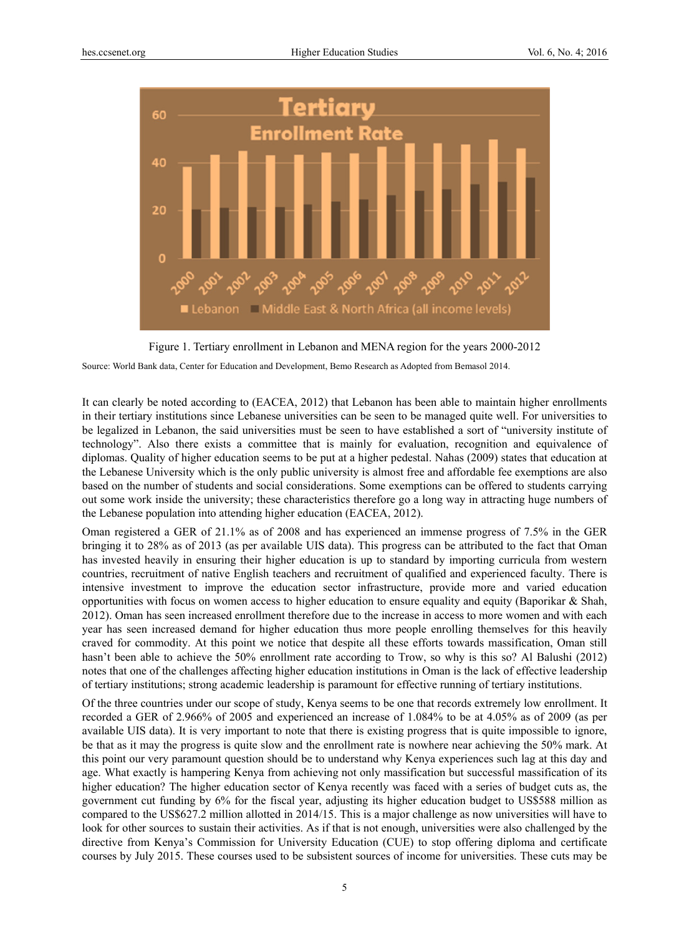

Figure 1. Tertiary enrollment in Lebanon and MENA region for the years 2000-2012

Source: World Bank data, Center for Education and Development, Bemo Research as Adopted from Bemasol 2014.

It can clearly be noted according to (EACEA, 2012) that Lebanon has been able to maintain higher enrollments in their tertiary institutions since Lebanese universities can be seen to be managed quite well. For universities to be legalized in Lebanon, the said universities must be seen to have established a sort of "university institute of technology". Also there exists a committee that is mainly for evaluation, recognition and equivalence of diplomas. Quality of higher education seems to be put at a higher pedestal. Nahas (2009) states that education at the Lebanese University which is the only public university is almost free and affordable fee exemptions are also based on the number of students and social considerations. Some exemptions can be offered to students carrying out some work inside the university; these characteristics therefore go a long way in attracting huge numbers of the Lebanese population into attending higher education (EACEA, 2012).

Oman registered a GER of 21.1% as of 2008 and has experienced an immense progress of 7.5% in the GER bringing it to 28% as of 2013 (as per available UIS data). This progress can be attributed to the fact that Oman has invested heavily in ensuring their higher education is up to standard by importing curricula from western countries, recruitment of native English teachers and recruitment of qualified and experienced faculty. There is intensive investment to improve the education sector infrastructure, provide more and varied education opportunities with focus on women access to higher education to ensure equality and equity (Baporikar & Shah, 2012). Oman has seen increased enrollment therefore due to the increase in access to more women and with each year has seen increased demand for higher education thus more people enrolling themselves for this heavily craved for commodity. At this point we notice that despite all these efforts towards massification, Oman still hasn't been able to achieve the 50% enrollment rate according to Trow, so why is this so? Al Balushi (2012) notes that one of the challenges affecting higher education institutions in Oman is the lack of effective leadership of tertiary institutions; strong academic leadership is paramount for effective running of tertiary institutions.

Of the three countries under our scope of study, Kenya seems to be one that records extremely low enrollment. It recorded a GER of 2.966% of 2005 and experienced an increase of 1.084% to be at 4.05% as of 2009 (as per available UIS data). It is very important to note that there is existing progress that is quite impossible to ignore, be that as it may the progress is quite slow and the enrollment rate is nowhere near achieving the 50% mark. At this point our very paramount question should be to understand why Kenya experiences such lag at this day and age. What exactly is hampering Kenya from achieving not only massification but successful massification of its higher education? The higher education sector of Kenya recently was faced with a series of budget cuts as, the government cut funding by 6% for the fiscal year, adjusting its higher education budget to US\$588 million as compared to the US\$627.2 million allotted in 2014/15. This is a major challenge as now universities will have to look for other sources to sustain their activities. As if that is not enough, universities were also challenged by the directive from Kenya's Commission for University Education (CUE) to stop offering diploma and certificate courses by July 2015. These courses used to be subsistent sources of income for universities. These cuts may be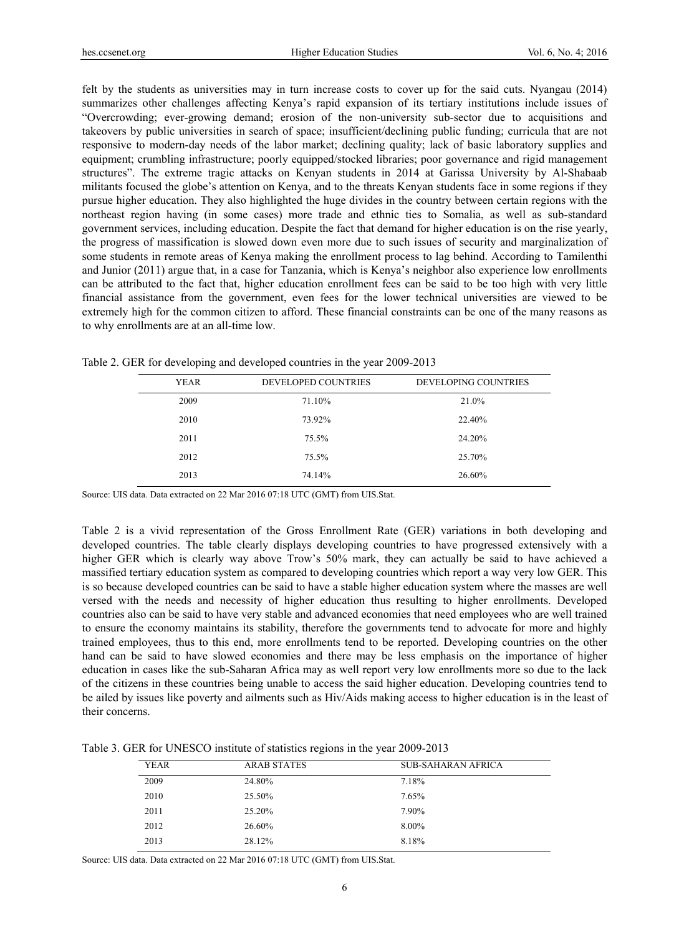felt by the students as universities may in turn increase costs to cover up for the said cuts. Nyangau (2014) summarizes other challenges affecting Kenya's rapid expansion of its tertiary institutions include issues of "Overcrowding; ever-growing demand; erosion of the non-university sub-sector due to acquisitions and takeovers by public universities in search of space; insufficient/declining public funding; curricula that are not responsive to modern-day needs of the labor market; declining quality; lack of basic laboratory supplies and equipment; crumbling infrastructure; poorly equipped/stocked libraries; poor governance and rigid management structures". The extreme tragic attacks on Kenyan students in 2014 at Garissa University by Al-Shabaab militants focused the globe's attention on Kenya, and to the threats Kenyan students face in some regions if they pursue higher education. They also highlighted the huge divides in the country between certain regions with the northeast region having (in some cases) more trade and ethnic ties to Somalia, as well as sub-standard government services, including education. Despite the fact that demand for higher education is on the rise yearly, the progress of massification is slowed down even more due to such issues of security and marginalization of some students in remote areas of Kenya making the enrollment process to lag behind. According to Tamilenthi and Junior (2011) argue that, in a case for Tanzania, which is Kenya's neighbor also experience low enrollments can be attributed to the fact that, higher education enrollment fees can be said to be too high with very little financial assistance from the government, even fees for the lower technical universities are viewed to be extremely high for the common citizen to afford. These financial constraints can be one of the many reasons as to why enrollments are at an all-time low.

| <b>YEAR</b> | <b>DEVELOPED COUNTRIES</b> | DEVELOPING COUNTRIES |
|-------------|----------------------------|----------------------|
| 2009        | 71.10%                     | 21.0%                |
| 2010        | 73.92%                     | 22.40%               |
| 2011        | 75.5%                      | 24.20%               |
| 2012        | 75.5%                      | 25.70%               |
| 2013        | 74.14%                     | 26.60%               |

Table 2. GER for developing and developed countries in the year 2009-2013

Source: UIS data. Data extracted on 22 Mar 2016 07:18 UTC (GMT) from UIS.Stat.

Table 2 is a vivid representation of the Gross Enrollment Rate (GER) variations in both developing and developed countries. The table clearly displays developing countries to have progressed extensively with a higher GER which is clearly way above Trow's 50% mark, they can actually be said to have achieved a massified tertiary education system as compared to developing countries which report a way very low GER. This is so because developed countries can be said to have a stable higher education system where the masses are well versed with the needs and necessity of higher education thus resulting to higher enrollments. Developed countries also can be said to have very stable and advanced economies that need employees who are well trained to ensure the economy maintains its stability, therefore the governments tend to advocate for more and highly trained employees, thus to this end, more enrollments tend to be reported. Developing countries on the other hand can be said to have slowed economies and there may be less emphasis on the importance of higher education in cases like the sub-Saharan Africa may as well report very low enrollments more so due to the lack of the citizens in these countries being unable to access the said higher education. Developing countries tend to be ailed by issues like poverty and ailments such as Hiv/Aids making access to higher education is in the least of their concerns.

Table 3. GER for UNESCO institute of statistics regions in the year 2009-2013

| <b>YEAR</b> | <b>ARAB STATES</b> | <b>SUB-SAHARAN AFRICA</b> |
|-------------|--------------------|---------------------------|
| 2009        | 24.80%             | 7.18%                     |
| 2010        | 25.50%             | 7.65%                     |
| 2011        | 25.20%             | 7.90%                     |
| 2012        | 26.60%             | 8.00%                     |
| 2013        | 28.12%             | 8.18%                     |

Source: UIS data. Data extracted on 22 Mar 2016 07:18 UTC (GMT) from UIS.Stat.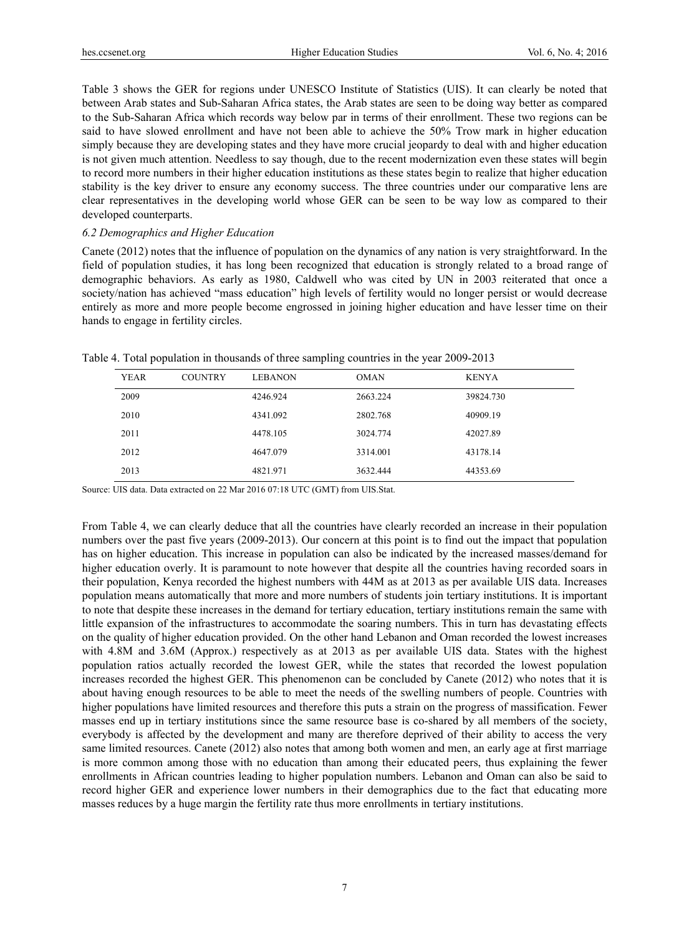Table 3 shows the GER for regions under UNESCO Institute of Statistics (UIS). It can clearly be noted that between Arab states and Sub-Saharan Africa states, the Arab states are seen to be doing way better as compared to the Sub-Saharan Africa which records way below par in terms of their enrollment. These two regions can be said to have slowed enrollment and have not been able to achieve the 50% Trow mark in higher education simply because they are developing states and they have more crucial jeopardy to deal with and higher education is not given much attention. Needless to say though, due to the recent modernization even these states will begin to record more numbers in their higher education institutions as these states begin to realize that higher education stability is the key driver to ensure any economy success. The three countries under our comparative lens are clear representatives in the developing world whose GER can be seen to be way low as compared to their developed counterparts.

#### *6.2 Demographics and Higher Education*

Canete (2012) notes that the influence of population on the dynamics of any nation is very straightforward. In the field of population studies, it has long been recognized that education is strongly related to a broad range of demographic behaviors. As early as 1980, Caldwell who was cited by UN in 2003 reiterated that once a society/nation has achieved "mass education" high levels of fertility would no longer persist or would decrease entirely as more and more people become engrossed in joining higher education and have lesser time on their hands to engage in fertility circles.

| <b>YEAR</b> | <b>COUNTRY</b> | <b>LEBANON</b> | <b>OMAN</b> | <b>KENYA</b> |  |
|-------------|----------------|----------------|-------------|--------------|--|
| 2009        |                | 4246.924       | 2663.224    | 39824.730    |  |
| 2010        |                | 4341.092       | 2802.768    | 40909.19     |  |
| 2011        |                | 4478.105       | 3024.774    | 42027.89     |  |
| 2012        |                | 4647.079       | 3314.001    | 43178.14     |  |
| 2013        |                | 4821.971       | 3632.444    | 44353.69     |  |

Table 4. Total population in thousands of three sampling countries in the year 2009-2013

Source: UIS data. Data extracted on 22 Mar 2016 07:18 UTC (GMT) from UIS.Stat.

From Table 4, we can clearly deduce that all the countries have clearly recorded an increase in their population numbers over the past five years (2009-2013). Our concern at this point is to find out the impact that population has on higher education. This increase in population can also be indicated by the increased masses/demand for higher education overly. It is paramount to note however that despite all the countries having recorded soars in their population, Kenya recorded the highest numbers with 44M as at 2013 as per available UIS data. Increases population means automatically that more and more numbers of students join tertiary institutions. It is important to note that despite these increases in the demand for tertiary education, tertiary institutions remain the same with little expansion of the infrastructures to accommodate the soaring numbers. This in turn has devastating effects on the quality of higher education provided. On the other hand Lebanon and Oman recorded the lowest increases with 4.8M and 3.6M (Approx.) respectively as at 2013 as per available UIS data. States with the highest population ratios actually recorded the lowest GER, while the states that recorded the lowest population increases recorded the highest GER. This phenomenon can be concluded by Canete (2012) who notes that it is about having enough resources to be able to meet the needs of the swelling numbers of people. Countries with higher populations have limited resources and therefore this puts a strain on the progress of massification. Fewer masses end up in tertiary institutions since the same resource base is co-shared by all members of the society, everybody is affected by the development and many are therefore deprived of their ability to access the very same limited resources. Canete (2012) also notes that among both women and men, an early age at first marriage is more common among those with no education than among their educated peers, thus explaining the fewer enrollments in African countries leading to higher population numbers. Lebanon and Oman can also be said to record higher GER and experience lower numbers in their demographics due to the fact that educating more masses reduces by a huge margin the fertility rate thus more enrollments in tertiary institutions.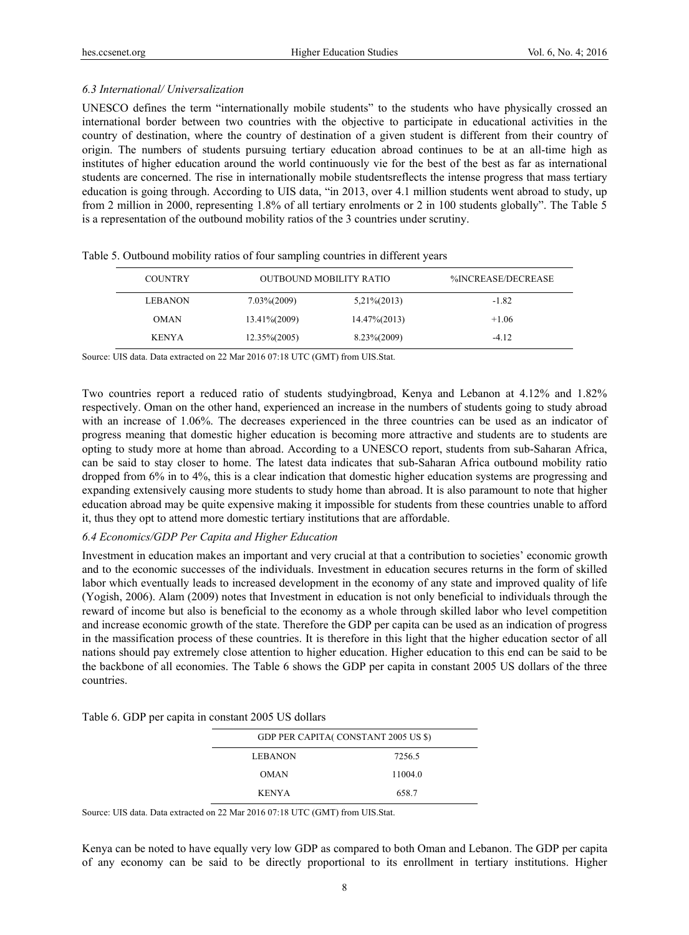#### *6.3 International/ Universalization*

UNESCO defines the term "internationally mobile students" to the students who have physically crossed an international border between two countries with the objective to participate in educational activities in the country of destination, where the country of destination of a given student is different from their country of origin. The numbers of students pursuing tertiary education abroad continues to be at an all-time high as institutes of higher education around the world continuously vie for the best of the best as far as international students are concerned. The rise in internationally mobile studentsreflects the intense progress that mass tertiary education is going through. According to UIS data, "in 2013, over 4.1 million students went abroad to study, up from 2 million in 2000, representing 1.8% of all tertiary enrolments or 2 in 100 students globally". The Table 5 is a representation of the outbound mobility ratios of the 3 countries under scrutiny.

| <b>COUNTRY</b> | <b>OUTBOUND MOBILITY RATIO</b> |                  | %INCREASE/DECREASE |  |
|----------------|--------------------------------|------------------|--------------------|--|
| LEBANON        | $7.03\% (2009)$                | $5,21\%$ (2013)  | $-1.82$            |  |
| <b>OMAN</b>    | 13.41\%(2009)                  | $14.47\% (2013)$ | $+1.06$            |  |
| <b>KENYA</b>   | $12.35\% (2005)$               | $8.23\%(2009)$   | $-4.12$            |  |

Table 5. Outbound mobility ratios of four sampling countries in different years

Source: UIS data. Data extracted on 22 Mar 2016 07:18 UTC (GMT) from UIS.Stat.

Two countries report a reduced ratio of students studyingbroad, Kenya and Lebanon at 4.12% and 1.82% respectively. Oman on the other hand, experienced an increase in the numbers of students going to study abroad with an increase of 1.06%. The decreases experienced in the three countries can be used as an indicator of progress meaning that domestic higher education is becoming more attractive and students are to students are opting to study more at home than abroad. According to a UNESCO report, students from sub-Saharan Africa, can be said to stay closer to home. The latest data indicates that sub-Saharan Africa outbound mobility ratio dropped from 6% in to 4%, this is a clear indication that domestic higher education systems are progressing and expanding extensively causing more students to study home than abroad. It is also paramount to note that higher education abroad may be quite expensive making it impossible for students from these countries unable to afford it, thus they opt to attend more domestic tertiary institutions that are affordable.

## *6.4 Economics/GDP Per Capita and Higher Education*

Investment in education makes an important and very crucial at that a contribution to societies' economic growth and to the economic successes of the individuals. Investment in education secures returns in the form of skilled labor which eventually leads to increased development in the economy of any state and improved quality of life (Yogish, 2006). Alam (2009) notes that Investment in education is not only beneficial to individuals through the reward of income but also is beneficial to the economy as a whole through skilled labor who level competition and increase economic growth of the state. Therefore the GDP per capita can be used as an indication of progress in the massification process of these countries. It is therefore in this light that the higher education sector of all nations should pay extremely close attention to higher education. Higher education to this end can be said to be the backbone of all economies. The Table 6 shows the GDP per capita in constant 2005 US dollars of the three countries.

| Table 6. GDP per capita in constant 2005 US dollars |  |  |  |  |  |
|-----------------------------------------------------|--|--|--|--|--|
|-----------------------------------------------------|--|--|--|--|--|

| GDP PER CAPITA( CONSTANT 2005 US \$) |         |  |  |  |
|--------------------------------------|---------|--|--|--|
| <b>LEBANON</b>                       | 7256.5  |  |  |  |
| <b>OMAN</b>                          | 11004.0 |  |  |  |
| <b>KENYA</b>                         | 658.7   |  |  |  |
|                                      |         |  |  |  |

Source: UIS data. Data extracted on 22 Mar 2016 07:18 UTC (GMT) from UIS.Stat.

Kenya can be noted to have equally very low GDP as compared to both Oman and Lebanon. The GDP per capita of any economy can be said to be directly proportional to its enrollment in tertiary institutions. Higher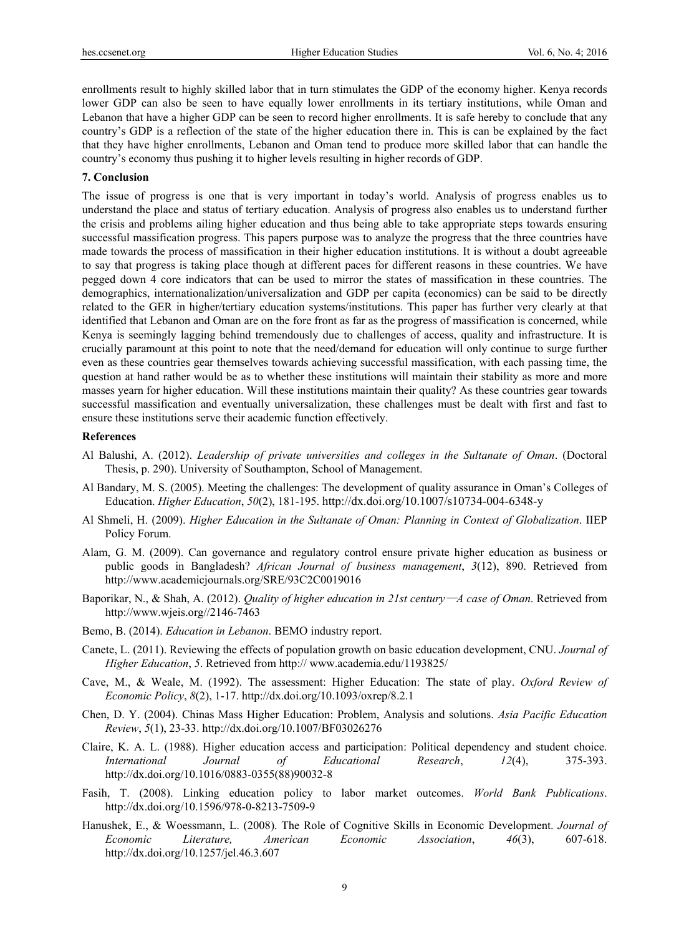enrollments result to highly skilled labor that in turn stimulates the GDP of the economy higher. Kenya records lower GDP can also be seen to have equally lower enrollments in its tertiary institutions, while Oman and Lebanon that have a higher GDP can be seen to record higher enrollments. It is safe hereby to conclude that any country's GDP is a reflection of the state of the higher education there in. This is can be explained by the fact that they have higher enrollments, Lebanon and Oman tend to produce more skilled labor that can handle the country's economy thus pushing it to higher levels resulting in higher records of GDP.

#### **7. Conclusion**

The issue of progress is one that is very important in today's world. Analysis of progress enables us to understand the place and status of tertiary education. Analysis of progress also enables us to understand further the crisis and problems ailing higher education and thus being able to take appropriate steps towards ensuring successful massification progress. This papers purpose was to analyze the progress that the three countries have made towards the process of massification in their higher education institutions. It is without a doubt agreeable to say that progress is taking place though at different paces for different reasons in these countries. We have pegged down 4 core indicators that can be used to mirror the states of massification in these countries. The demographics, internationalization/universalization and GDP per capita (economics) can be said to be directly related to the GER in higher/tertiary education systems/institutions. This paper has further very clearly at that identified that Lebanon and Oman are on the fore front as far as the progress of massification is concerned, while Kenya is seemingly lagging behind tremendously due to challenges of access, quality and infrastructure. It is crucially paramount at this point to note that the need/demand for education will only continue to surge further even as these countries gear themselves towards achieving successful massification, with each passing time, the question at hand rather would be as to whether these institutions will maintain their stability as more and more masses yearn for higher education. Will these institutions maintain their quality? As these countries gear towards successful massification and eventually universalization, these challenges must be dealt with first and fast to ensure these institutions serve their academic function effectively.

#### **References**

- Al Balushi, A. (2012). *Leadership of private universities and colleges in the Sultanate of Oman*. (Doctoral Thesis, p. 290). University of Southampton, School of Management.
- Al Bandary, M. S. (2005). Meeting the challenges: The development of quality assurance in Oman's Colleges of Education. *Higher Education*, *50*(2), 181-195. http://dx.doi.org/10.1007/s10734-004-6348-y
- Al Shmeli, H. (2009). *Higher Education in the Sultanate of Oman: Planning in Context of Globalization*. IIEP Policy Forum.
- Alam, G. M. (2009). Can governance and regulatory control ensure private higher education as business or public goods in Bangladesh? *African Journal of business management*, *3*(12), 890. Retrieved from http://www.academicjournals.org/SRE/93C2C0019016
- Baporikar, N., & Shah, A. (2012). *Quality of higher education in 21st century*—*A case of Oman*. Retrieved from http://www.wjeis.org//2146-7463
- Bemo, B. (2014). *Education in Lebanon*. BEMO industry report.
- Canete, L. (2011). Reviewing the effects of population growth on basic education development, CNU. *Journal of Higher Education*, *5*. Retrieved from http:// www.academia.edu/1193825/
- Cave, M., & Weale, M. (1992). The assessment: Higher Education: The state of play. *Oxford Review of Economic Policy*, *8*(2), 1-17. http://dx.doi.org/10.1093/oxrep/8.2.1
- Chen, D. Y. (2004). Chinas Mass Higher Education: Problem, Analysis and solutions. *Asia Pacific Education Review*, *5*(1), 23-33. http://dx.doi.org/10.1007/BF03026276
- Claire, K. A. L. (1988). Higher education access and participation: Political dependency and student choice. *International Journal of Educational Research*, *12*(4), 375-393. http://dx.doi.org/10.1016/0883-0355(88)90032-8
- Fasih, T. (2008). Linking education policy to labor market outcomes. *World Bank Publications*. http://dx.doi.org/10.1596/978-0-8213-7509-9
- Hanushek, E., & Woessmann, L. (2008). The Role of Cognitive Skills in Economic Development. *Journal of Economic Literature, American Economic Association*, *46*(3), 607-618. http://dx.doi.org/10.1257/jel.46.3.607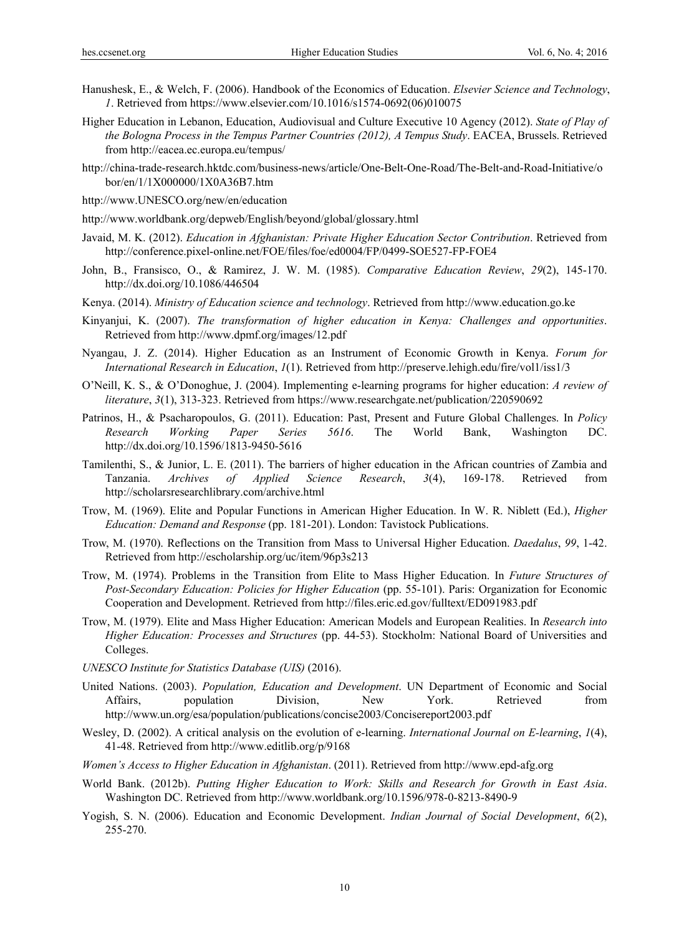- Hanushesk, E., & Welch, F. (2006). Handbook of the Economics of Education. *Elsevier Science and Technology*, *1*. Retrieved from https://www.elsevier.com/10.1016/s1574-0692(06)010075
- Higher Education in Lebanon, Education, Audiovisual and Culture Executive 10 Agency (2012). *State of Play of the Bologna Process in the Tempus Partner Countries (2012), A Tempus Study*. EACEA, Brussels. Retrieved from http://eacea.ec.europa.eu/tempus/
- http://china-trade-research.hktdc.com/business-news/article/One-Belt-One-Road/The-Belt-and-Road-Initiative/o bor/en/1/1X000000/1X0A36B7.htm
- http://www.UNESCO.org/new/en/education
- http://www.worldbank.org/depweb/English/beyond/global/glossary.html
- Javaid, M. K. (2012). *Education in Afghanistan: Private Higher Education Sector Contribution*. Retrieved from http://conference.pixel-online.net/FOE/files/foe/ed0004/FP/0499-SOE527-FP-FOE4
- John, B., Fransisco, O., & Ramirez, J. W. M. (1985). *Comparative Education Review*, *29*(2), 145-170. http://dx.doi.org/10.1086/446504
- Kenya. (2014). *Ministry of Education science and technology*. Retrieved from http://www.education.go.ke
- Kinyanjui, K. (2007). *The transformation of higher education in Kenya: Challenges and opportunities*. Retrieved from http://www.dpmf.org/images/12.pdf
- Nyangau, J. Z. (2014). Higher Education as an Instrument of Economic Growth in Kenya. *Forum for International Research in Education*, *1*(1). Retrieved from http://preserve.lehigh.edu/fire/vol1/iss1/3
- O'Neill, K. S., & O'Donoghue, J. (2004). Implementing e-learning programs for higher education: *A review of literature*, *3*(1), 313-323. Retrieved from https://www.researchgate.net/publication/220590692
- Patrinos, H., & Psacharopoulos, G. (2011). Education: Past, Present and Future Global Challenges. In *Policy Research Working Paper Series 5616*. The World Bank, Washington DC. http://dx.doi.org/10.1596/1813-9450-5616
- Tamilenthi, S., & Junior, L. E. (2011). The barriers of higher education in the African countries of Zambia and Tanzania. *Archives of Applied Science Research*, *3*(4), 169-178. Retrieved from http://scholarsresearchlibrary.com/archive.html
- Trow, M. (1969). Elite and Popular Functions in American Higher Education. In W. R. Niblett (Ed.), *Higher Education: Demand and Response* (pp. 181-201). London: Tavistock Publications.
- Trow, M. (1970). Reflections on the Transition from Mass to Universal Higher Education. *Daedalus*, *99*, 1-42. Retrieved from http://escholarship.org/uc/item/96p3s213
- Trow, M. (1974). Problems in the Transition from Elite to Mass Higher Education. In *Future Structures of Post-Secondary Education: Policies for Higher Education* (pp. 55-101). Paris: Organization for Economic Cooperation and Development. Retrieved from http://files.eric.ed.gov/fulltext/ED091983.pdf
- Trow, M. (1979). Elite and Mass Higher Education: American Models and European Realities. In *Research into Higher Education: Processes and Structures* (pp. 44-53). Stockholm: National Board of Universities and Colleges.
- *UNESCO Institute for Statistics Database (UIS)* (2016).
- United Nations. (2003). *Population, Education and Development*. UN Department of Economic and Social Affairs, population Division, New York. Retrieved from http://www.un.org/esa/population/publications/concise2003/Concisereport2003.pdf
- Wesley, D. (2002). A critical analysis on the evolution of e-learning. *International Journal on E-learning*, *1*(4), 41-48. Retrieved from http://www.editlib.org/p/9168
- *Women's Access to Higher Education in Afghanistan*. (2011). Retrieved from http://www.epd-afg.org
- World Bank. (2012b). *Putting Higher Education to Work: Skills and Research for Growth in East Asia*. Washington DC. Retrieved from http://www.worldbank.org/10.1596/978-0-8213-8490-9
- Yogish, S. N. (2006). Education and Economic Development. *Indian Journal of Social Development*, *6*(2), 255-270.